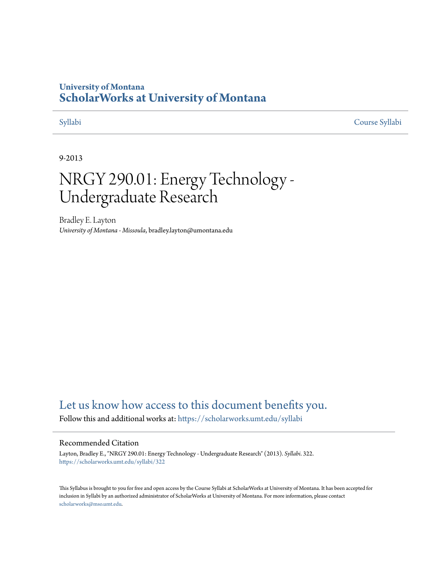## **University of Montana [ScholarWorks at University of Montana](https://scholarworks.umt.edu?utm_source=scholarworks.umt.edu%2Fsyllabi%2F322&utm_medium=PDF&utm_campaign=PDFCoverPages)**

[Syllabi](https://scholarworks.umt.edu/syllabi?utm_source=scholarworks.umt.edu%2Fsyllabi%2F322&utm_medium=PDF&utm_campaign=PDFCoverPages) [Course Syllabi](https://scholarworks.umt.edu/course_syllabi?utm_source=scholarworks.umt.edu%2Fsyllabi%2F322&utm_medium=PDF&utm_campaign=PDFCoverPages)

#### 9-2013

# NRGY 290.01: Energy Technology - Undergraduate Research

Bradley E. Layton *University of Montana - Missoula*, bradley.layton@umontana.edu

# [Let us know how access to this document benefits you.](https://goo.gl/forms/s2rGfXOLzz71qgsB2)

Follow this and additional works at: [https://scholarworks.umt.edu/syllabi](https://scholarworks.umt.edu/syllabi?utm_source=scholarworks.umt.edu%2Fsyllabi%2F322&utm_medium=PDF&utm_campaign=PDFCoverPages)

#### Recommended Citation

Layton, Bradley E., "NRGY 290.01: Energy Technology - Undergraduate Research" (2013). *Syllabi*. 322. [https://scholarworks.umt.edu/syllabi/322](https://scholarworks.umt.edu/syllabi/322?utm_source=scholarworks.umt.edu%2Fsyllabi%2F322&utm_medium=PDF&utm_campaign=PDFCoverPages)

This Syllabus is brought to you for free and open access by the Course Syllabi at ScholarWorks at University of Montana. It has been accepted for inclusion in Syllabi by an authorized administrator of ScholarWorks at University of Montana. For more information, please contact [scholarworks@mso.umt.edu](mailto:scholarworks@mso.umt.edu).